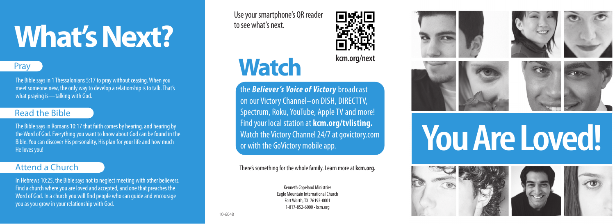## **What's Next?**

### Pray

The Bible says in 1 Thessalonians 5:17 to pray without ceasing. When you meet someone new, the only way to develop a relationship is to talk. That's what praying is—talking with God.

### Read the Bible

The Bible says in Romans 10:17 that faith comes by hearing, and hearing by the Word of God. Everything you want to know about God can be found in the Bible. You can discover His personality, His plan for your life and how much He loves you!

### Attend a Church

In Hebrews 10:25, the Bible says not to neglect meeting with other believers. Find a church where you are loved and accepted, and one that preaches the Word of God. In a church you will find people who can guide and encourage you as you grow in your relationship with God.

Use your smartphone's QR reader to see what's next.



### **Watch**

the *Believer's Voice of Victory* broadcast on our Victory Channel–on DISH, DIRECTTV, Spectrum, Roku, YouTube, Apple TV and more! Find your local station at **kcm.org/tvlisting.** Watch the Victory Channel 24/7 at govictory.com or with the GoVictory mobile app.

There's something for the whole family. Learn more at **kcm.org.**

Kenneth Copeland Ministries Eagle Mountain International Church Fort Worth, TX 76192-0001 1-817-852-6000 • kcm.org



# **You Are Loved!**